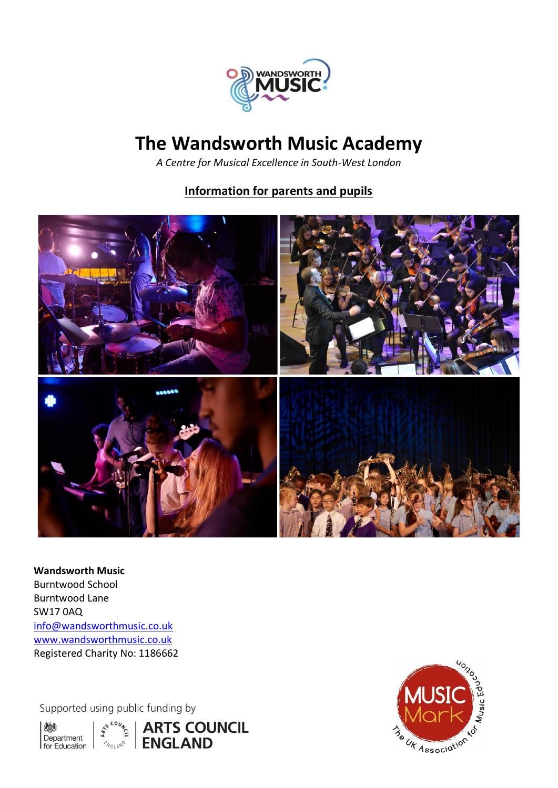

# **The Wandsworth Music Academy**

*A Centre for Musical Excellence in South-West London*

# **Information for parents and pupils**



**Wandsworth Music** Burntwood School Burntwood Lane SW17 0AQ [info@wandsworthmusic.co.uk](mailto:info@wandsworthmusic.co.uk) [www.wandsworthmusic.co.uk](http://www.wandsworthmusic.co.uk/) Registered Charity No: 1186662

Supported using public funding by





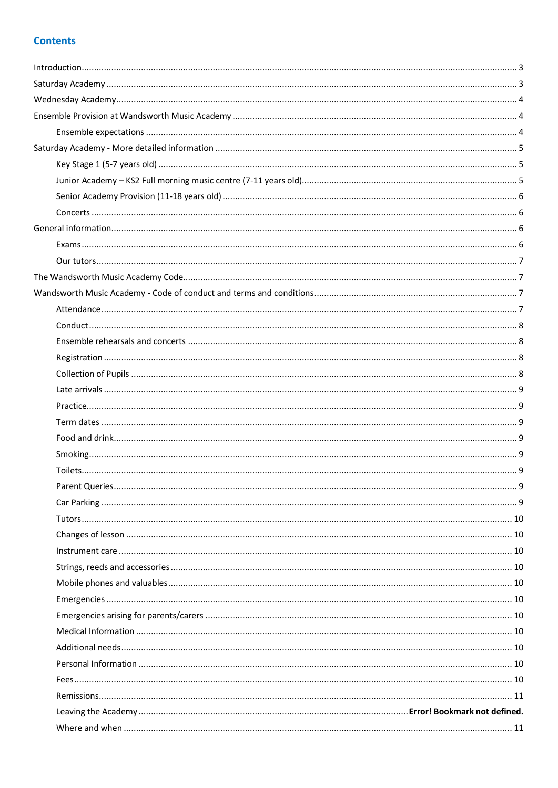# **Contents**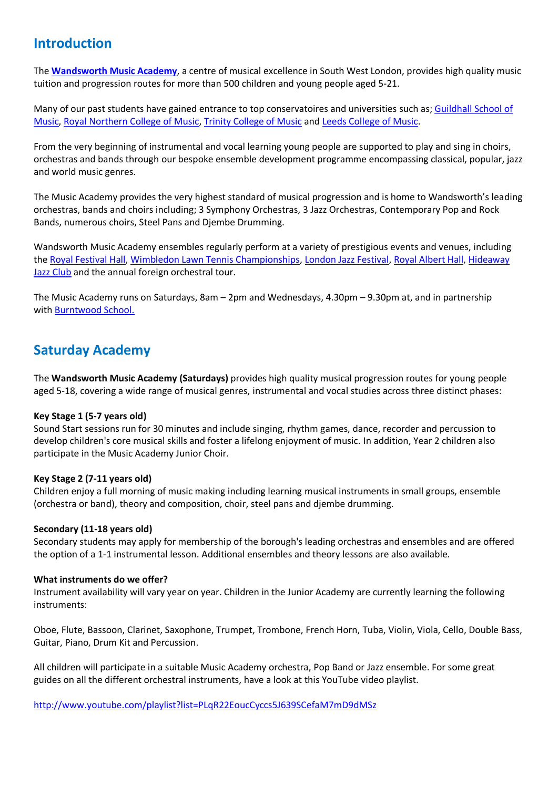# <span id="page-2-0"></span>**Introduction**

The **[Wandsworth Music Academy](https://wandsworthmusic.co.uk/music-academy/)**, a centre of musical excellence in South West London, provides high quality music tuition and progression routes for more than 500 children and young people aged 5-21.

Many of our past students have gained entrance to top conservatoires and universities such as; [Guildhall School of](https://www.gsmd.ac.uk/)  [Music,](https://www.gsmd.ac.uk/) [Royal Northern College of Music,](https://www.rncm.ac.uk/) [Trinity College of Music](https://www.trinitylaban.ac.uk/study/music) and [Leeds College of Music.](https://www.lcm.ac.uk/)

From the very beginning of instrumental and vocal learning young people are supported to play and sing in choirs, orchestras and bands through our bespoke ensemble development programme encompassing classical, popular, jazz and world music genres.

The Music Academy provides the very highest standard of musical progression and is home to Wandsworth's leading orchestras, bands and choirs including; 3 Symphony Orchestras, 3 Jazz Orchestras, Contemporary Pop and Rock Bands, numerous choirs, Steel Pans and Djembe Drumming.

Wandsworth Music Academy ensembles regularly perform at a variety of prestigious events and venues, including the [Royal Festival Hall,](https://www.youtube.com/watch?v=VBz6RYKIyew) [Wimbledon Lawn Tennis Championships,](https://www.youtube.com/watch?v=SV1gUytd8ks) [London Jazz Festival,](https://efglondonjazzfestival.org.uk/events/next-generation-takes-over-1) [Royal Albert Hall,](https://www.royalalberthall.com/) [Hideaway](https://www.hideawaylive.co.uk/)  [Jazz Club](https://www.hideawaylive.co.uk/) and the annual foreign orchestral tour.

The Music Academy runs on Saturdays, 8am – 2pm and Wednesdays, 4.30pm – 9.30pm at, and in partnership with [Burntwood School.](https://www.burntwoodschool.com/)

# <span id="page-2-1"></span>**Saturday Academy**

The **Wandsworth Music Academy (Saturdays)** provides high quality musical progression routes for young people aged 5-18, covering a wide range of musical genres, instrumental and vocal studies across three distinct phases:

### **Key Stage 1 (5-7 years old)**

Sound Start sessions run for 30 minutes and include singing, rhythm games, dance, recorder and percussion to develop children's core musical skills and foster a lifelong enjoyment of music. In addition, Year 2 children also participate in the Music Academy Junior Choir.

### **Key Stage 2 (7-11 years old)**

Children enjoy a full morning of music making including learning musical instruments in small groups, ensemble (orchestra or band), theory and composition, choir, steel pans and djembe drumming.

### **Secondary (11-18 years old)**

Secondary students may apply for membership of the borough's leading orchestras and ensembles and are offered the option of a 1-1 instrumental lesson. Additional ensembles and theory lessons are also available.

### **What instruments do we offer?**

Instrument availability will vary year on year. Children in the Junior Academy are currently learning the following instruments:

Oboe, Flute, Bassoon, Clarinet, Saxophone, Trumpet, Trombone, French Horn, Tuba, Violin, Viola, Cello, Double Bass, Guitar, Piano, Drum Kit and Percussion.

All children will participate in a suitable Music Academy orchestra, Pop Band or Jazz ensemble. For some great guides on all the different orchestral instruments, have a look at this YouTube video playlist.

<http://www.youtube.com/playlist?list=PLqR22EoucCyccs5J639SCefaM7mD9dMSz>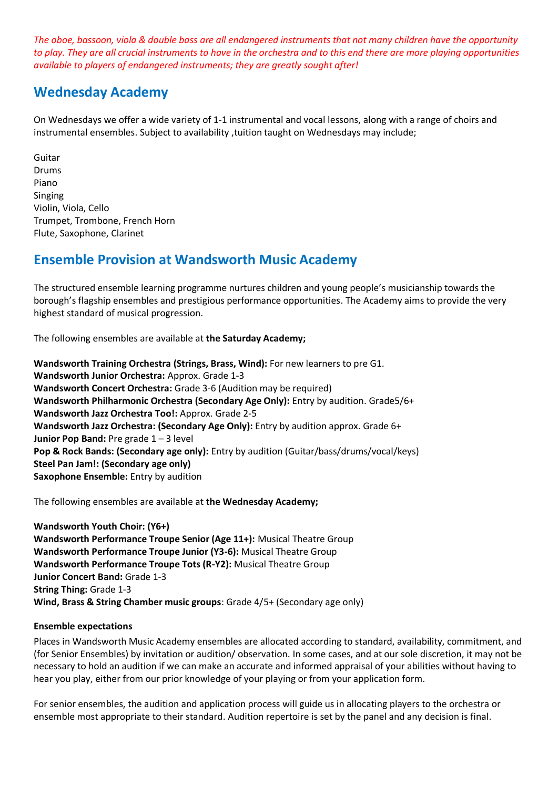*The oboe, bassoon, viola & double bass are all endangered instruments that not many children have the opportunity to play. They are all crucial instruments to have in the orchestra and to this end there are more playing opportunities available to players of endangered instruments; they are greatly sought after!*

# <span id="page-3-0"></span>**Wednesday Academy**

On Wednesdays we offer a wide variety of 1-1 instrumental and vocal lessons, along with a range of choirs and instrumental ensembles. Subject to availability ,tuition taught on Wednesdays may include;

Guitar Drums Piano Singing Violin, Viola, Cello Trumpet, Trombone, French Horn Flute, Saxophone, Clarinet

# <span id="page-3-1"></span>**Ensemble Provision at Wandsworth Music Academy**

The structured ensemble learning programme nurtures children and young people's musicianship towards the borough's flagship ensembles and prestigious performance opportunities. The Academy aims to provide the very highest standard of musical progression.

The following ensembles are available at **the Saturday Academy;**

**Wandsworth Training Orchestra (Strings, Brass, Wind):** For new learners to pre G1. **Wandsworth Junior Orchestra:** Approx. Grade 1-3 **Wandsworth Concert Orchestra:** Grade 3-6 (Audition may be required) **Wandsworth Philharmonic Orchestra (Secondary Age Only):** Entry by audition. Grade5/6+ **Wandsworth Jazz Orchestra Too!:** Approx. Grade 2-5 **Wandsworth Jazz Orchestra: (Secondary Age Only):** Entry by audition approx. Grade 6+ **Junior Pop Band:** Pre grade 1 – 3 level **Pop & Rock Bands: (Secondary age only):** Entry by audition (Guitar/bass/drums/vocal/keys) **Steel Pan Jam!: (Secondary age only) Saxophone Ensemble:** Entry by audition

The following ensembles are available at **the Wednesday Academy;**

**Wandsworth Youth Choir: (Y6+) Wandsworth Performance Troupe Senior (Age 11+):** Musical Theatre Group **Wandsworth Performance Troupe Junior (Y3-6):** Musical Theatre Group **Wandsworth Performance Troupe Tots (R-Y2):** Musical Theatre Group **Junior Concert Band:** Grade 1-3 **String Thing:** Grade 1-3 **Wind, Brass & String Chamber music groups**: Grade 4/5+ (Secondary age only)

# <span id="page-3-2"></span>**Ensemble expectations**

Places in Wandsworth Music Academy ensembles are allocated according to standard, availability, commitment, and (for Senior Ensembles) by invitation or audition/ observation. In some cases, and at our sole discretion, it may not be necessary to hold an audition if we can make an accurate and informed appraisal of your abilities without having to hear you play, either from our prior knowledge of your playing or from your application form.

For senior ensembles, the audition and application process will guide us in allocating players to the orchestra or ensemble most appropriate to their standard. Audition repertoire is set by the panel and any decision is final.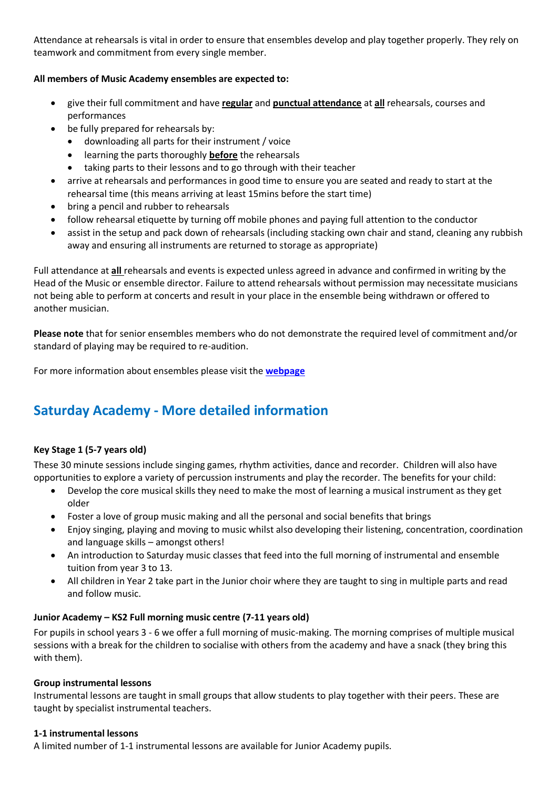Attendance at rehearsals is vital in order to ensure that ensembles develop and play together properly. They rely on teamwork and commitment from every single member.

# **All members of Music Academy ensembles are expected to:**

- give their full commitment and have **regular** and **punctual attendance** at **all** rehearsals, courses and performances
- be fully prepared for rehearsals by:
	- downloading all parts for their instrument / voice
	- learning the parts thoroughly **before** the rehearsals
	- taking parts to their lessons and to go through with their teacher
- arrive at rehearsals and performances in good time to ensure you are seated and ready to start at the rehearsal time (this means arriving at least 15mins before the start time)
- bring a pencil and rubber to rehearsals
- follow rehearsal etiquette by turning off mobile phones and paying full attention to the conductor
- assist in the setup and pack down of rehearsals (including stacking own chair and stand, cleaning any rubbish away and ensuring all instruments are returned to storage as appropriate)

Full attendance at **all** rehearsals and events is expected unless agreed in advance and confirmed in writing by the Head of the Music or ensemble director. Failure to attend rehearsals without permission may necessitate musicians not being able to perform at concerts and result in your place in the ensemble being withdrawn or offered to another musician.

**Please note** that for senior ensembles members who do not demonstrate the required level of commitment and/or standard of playing may be required to re-audition.

For more information about ensembles please visit the **[webpage](https://wandsworthmusic.co.uk/music-academy/)**

# <span id="page-4-0"></span>**Saturday Academy - More detailed information**

# <span id="page-4-1"></span>**Key Stage 1 (5-7 years old)**

These 30 minute sessions include singing games, rhythm activities, dance and recorder. Children will also have opportunities to explore a variety of percussion instruments and play the recorder. The benefits for your child:

- Develop the core musical skills they need to make the most of learning a musical instrument as they get older
- Foster a love of group music making and all the personal and social benefits that brings
- Enjoy singing, playing and moving to music whilst also developing their listening, concentration, coordination and language skills – amongst others!
- An introduction to Saturday music classes that feed into the full morning of instrumental and ensemble tuition from year 3 to 13.
- All children in Year 2 take part in the Junior choir where they are taught to sing in multiple parts and read and follow music.

# <span id="page-4-2"></span>**Junior Academy – KS2 Full morning music centre (7-11 years old)**

For pupils in school years 3 - 6 we offer a full morning of music-making. The morning comprises of multiple musical sessions with a break for the children to socialise with others from the academy and have a snack (they bring this with them).

# **Group instrumental lessons**

Instrumental lessons are taught in small groups that allow students to play together with their peers. These are taught by specialist instrumental teachers.

# **1-1 instrumental lessons**

A limited number of 1-1 instrumental lessons are available for Junior Academy pupils.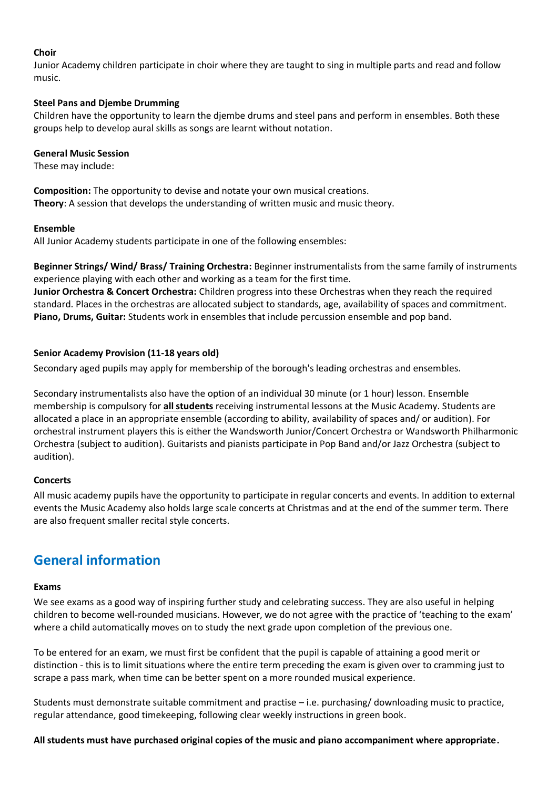### **Choir**

Junior Academy children participate in choir where they are taught to sing in multiple parts and read and follow music.

#### **Steel Pans and Djembe Drumming**

Children have the opportunity to learn the djembe drums and steel pans and perform in ensembles. Both these groups help to develop aural skills as songs are learnt without notation.

#### **General Music Session**

These may include:

**Composition:** The opportunity to devise and notate your own musical creations. **Theory**: A session that develops the understanding of written music and music theory.

#### **Ensemble**

All Junior Academy students participate in one of the following ensembles:

**Beginner Strings/ Wind/ Brass/ Training Orchestra:** Beginner instrumentalists from the same family of instruments experience playing with each other and working as a team for the first time. **Junior Orchestra & Concert Orchestra:** Children progress into these Orchestras when they reach the required

standard. Places in the orchestras are allocated subject to standards, age, availability of spaces and commitment. **Piano, Drums, Guitar:** Students work in ensembles that include percussion ensemble and pop band.

### <span id="page-5-0"></span>**Senior Academy Provision (11-18 years old)**

Secondary aged pupils may apply for membership of the borough's leading orchestras and ensembles.

Secondary instrumentalists also have the option of an individual 30 minute (or 1 hour) lesson. Ensemble membership is compulsory for **all students** receiving instrumental lessons at the Music Academy. Students are allocated a place in an appropriate ensemble (according to ability, availability of spaces and/ or audition). For orchestral instrument players this is either the Wandsworth Junior/Concert Orchestra or Wandsworth Philharmonic Orchestra (subject to audition). Guitarists and pianists participate in Pop Band and/or Jazz Orchestra (subject to audition).

### <span id="page-5-1"></span>**Concerts**

All music academy pupils have the opportunity to participate in regular concerts and events. In addition to external events the Music Academy also holds large scale concerts at Christmas and at the end of the summer term. There are also frequent smaller recital style concerts.

# <span id="page-5-2"></span>**General information**

#### <span id="page-5-3"></span>**Exams**

We see exams as a good way of inspiring further study and celebrating success. They are also useful in helping children to become well-rounded musicians. However, we do not agree with the practice of 'teaching to the exam' where a child automatically moves on to study the next grade upon completion of the previous one.

To be entered for an exam, we must first be confident that the pupil is capable of attaining a good merit or distinction - this is to limit situations where the entire term preceding the exam is given over to cramming just to scrape a pass mark, when time can be better spent on a more rounded musical experience.

Students must demonstrate suitable commitment and practise – i.e. purchasing/ downloading music to practice, regular attendance, good timekeeping, following clear weekly instructions in green book.

**All students must have purchased original copies of the music and piano accompaniment where appropriate.**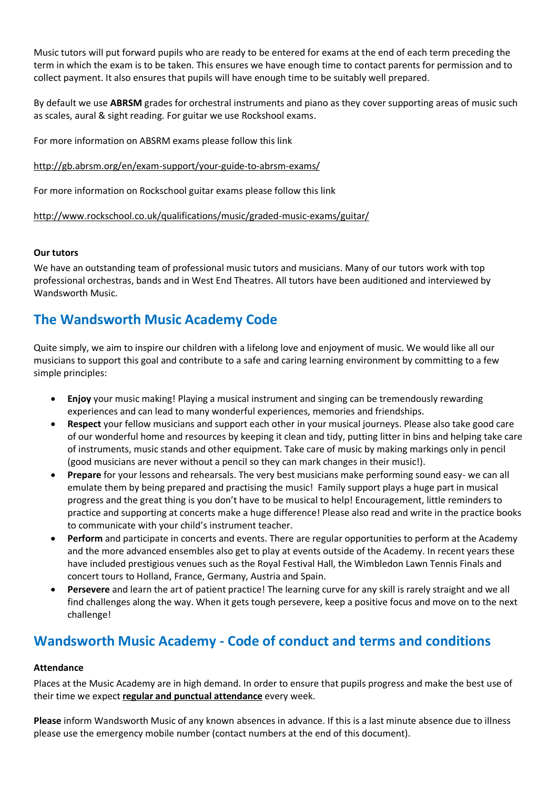Music tutors will put forward pupils who are ready to be entered for exams at the end of each term preceding the term in which the exam is to be taken. This ensures we have enough time to contact parents for permission and to collect payment. It also ensures that pupils will have enough time to be suitably well prepared.

By default we use **ABRSM** grades for orchestral instruments and piano as they cover supporting areas of music such as scales, aural & sight reading. For guitar we use Rockshool exams.

For more information on ABSRM exams please follow this link

<http://gb.abrsm.org/en/exam-support/your-guide-to-abrsm-exams/>

For more information on Rockschool guitar exams please follow this link

<http://www.rockschool.co.uk/qualifications/music/graded-music-exams/guitar/>

### <span id="page-6-0"></span>**Our tutors**

We have an outstanding team of professional music tutors and musicians. Many of our tutors work with top professional orchestras, bands and in West End Theatres. All tutors have been auditioned and interviewed by Wandsworth Music.

# <span id="page-6-1"></span>**The Wandsworth Music Academy Code**

Quite simply, we aim to inspire our children with a lifelong love and enjoyment of music. We would like all our musicians to support this goal and contribute to a safe and caring learning environment by committing to a few simple principles:

- **Enjoy** your music making! Playing a musical instrument and singing can be tremendously rewarding experiences and can lead to many wonderful experiences, memories and friendships.
- **Respect** your fellow musicians and support each other in your musical journeys. Please also take good care of our wonderful home and resources by keeping it clean and tidy, putting litter in bins and helping take care of instruments, music stands and other equipment. Take care of music by making markings only in pencil (good musicians are never without a pencil so they can mark changes in their music!).
- **Prepare** for your lessons and rehearsals. The very best musicians make performing sound easy- we can all emulate them by being prepared and practising the music! Family support plays a huge part in musical progress and the great thing is you don't have to be musical to help! Encouragement, little reminders to practice and supporting at concerts make a huge difference! Please also read and write in the practice books to communicate with your child's instrument teacher.
- **Perform** and participate in concerts and events. There are regular opportunities to perform at the Academy and the more advanced ensembles also get to play at events outside of the Academy. In recent years these have included prestigious venues such as the Royal Festival Hall, the Wimbledon Lawn Tennis Finals and concert tours to Holland, France, Germany, Austria and Spain.
- **Persevere** and learn the art of patient practice! The learning curve for any skill is rarely straight and we all find challenges along the way. When it gets tough persevere, keep a positive focus and move on to the next challenge!

# <span id="page-6-2"></span>**Wandsworth Music Academy - Code of conduct and terms and conditions**

### <span id="page-6-3"></span>**Attendance**

Places at the Music Academy are in high demand. In order to ensure that pupils progress and make the best use of their time we expect **regular and punctual attendance** every week.

<span id="page-6-4"></span>**Please** inform Wandsworth Music of any known absences in advance. If this is a last minute absence due to illness please use the emergency mobile number (contact numbers at the end of this document).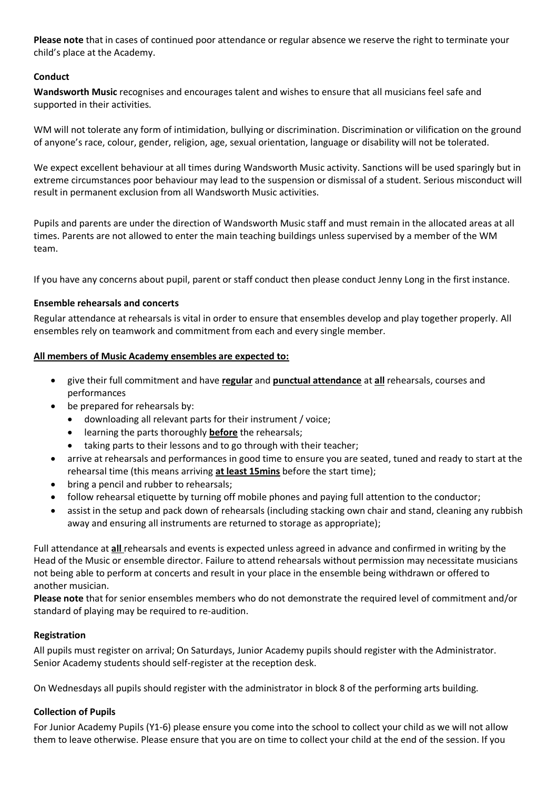**Please note** that in cases of continued poor attendance or regular absence we reserve the right to terminate your child's place at the Academy.

# **Conduct**

**Wandsworth Music** recognises and encourages talent and wishes to ensure that all musicians feel safe and supported in their activities.

WM will not tolerate any form of intimidation, bullying or discrimination. Discrimination or vilification on the ground of anyone's race, colour, gender, religion, age, sexual orientation, language or disability will not be tolerated.

We expect excellent behaviour at all times during Wandsworth Music activity. Sanctions will be used sparingly but in extreme circumstances poor behaviour may lead to the suspension or dismissal of a student. Serious misconduct will result in permanent exclusion from all Wandsworth Music activities.

Pupils and parents are under the direction of Wandsworth Music staff and must remain in the allocated areas at all times. Parents are not allowed to enter the main teaching buildings unless supervised by a member of the WM team.

If you have any concerns about pupil, parent or staff conduct then please conduct Jenny Long in the first instance.

### <span id="page-7-0"></span>**Ensemble rehearsals and concerts**

Regular attendance at rehearsals is vital in order to ensure that ensembles develop and play together properly. All ensembles rely on teamwork and commitment from each and every single member.

### **All members of Music Academy ensembles are expected to:**

- give their full commitment and have **regular** and **punctual attendance** at **all** rehearsals, courses and performances
- be prepared for rehearsals by:
	- downloading all relevant parts for their instrument / voice;
	- learning the parts thoroughly **before** the rehearsals;
	- taking parts to their lessons and to go through with their teacher;
- arrive at rehearsals and performances in good time to ensure you are seated, tuned and ready to start at the rehearsal time (this means arriving **at least 15mins** before the start time);
- bring a pencil and rubber to rehearsals;
- follow rehearsal etiquette by turning off mobile phones and paying full attention to the conductor;
- assist in the setup and pack down of rehearsals (including stacking own chair and stand, cleaning any rubbish away and ensuring all instruments are returned to storage as appropriate);

Full attendance at **all** rehearsals and events is expected unless agreed in advance and confirmed in writing by the Head of the Music or ensemble director. Failure to attend rehearsals without permission may necessitate musicians not being able to perform at concerts and result in your place in the ensemble being withdrawn or offered to another musician.

**Please note** that for senior ensembles members who do not demonstrate the required level of commitment and/or standard of playing may be required to re-audition.

# <span id="page-7-1"></span>**Registration**

All pupils must register on arrival; On Saturdays, Junior Academy pupils should register with the Administrator. Senior Academy students should self-register at the reception desk.

<span id="page-7-2"></span>On Wednesdays all pupils should register with the administrator in block 8 of the performing arts building.

# **Collection of Pupils**

For Junior Academy Pupils (Y1-6) please ensure you come into the school to collect your child as we will not allow them to leave otherwise. Please ensure that you are on time to collect your child at the end of the session. If you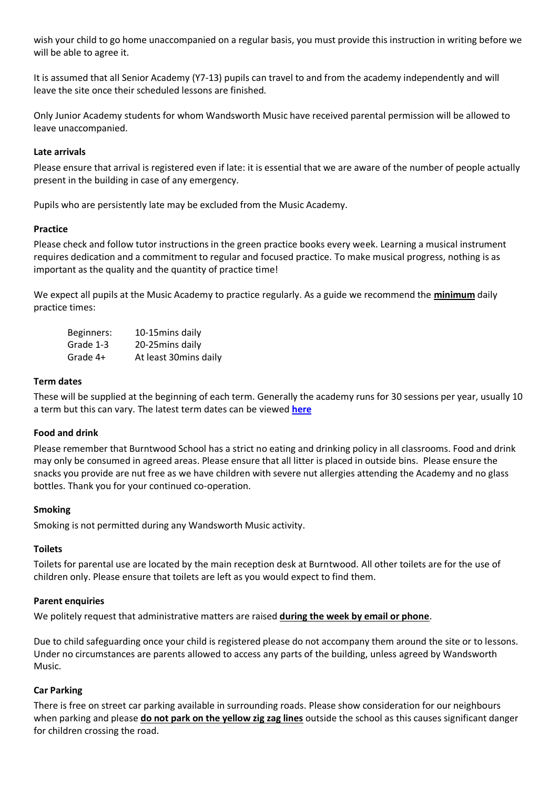wish your child to go home unaccompanied on a regular basis, you must provide this instruction in writing before we will be able to agree it.

It is assumed that all Senior Academy (Y7-13) pupils can travel to and from the academy independently and will leave the site once their scheduled lessons are finished.

Only Junior Academy students for whom Wandsworth Music have received parental permission will be allowed to leave unaccompanied.

### <span id="page-8-0"></span>**Late arrivals**

Please ensure that arrival is registered even if late: it is essential that we are aware of the number of people actually present in the building in case of any emergency.

<span id="page-8-1"></span>Pupils who are persistently late may be excluded from the Music Academy.

### **Practice**

Please check and follow tutor instructions in the green practice books every week. Learning a musical instrument requires dedication and a commitment to regular and focused practice. To make musical progress, nothing is as important as the quality and the quantity of practice time!

We expect all pupils at the Music Academy to practice regularly. As a guide we recommend the **minimum** daily practice times:

| Beginners: | 10-15mins daily       |
|------------|-----------------------|
| Grade 1-3  | 20-25mins daily       |
| Grade 4+   | At least 30mins daily |

### <span id="page-8-2"></span>**Term dates**

These will be supplied at the beginning of each term. Generally the academy runs for 30 sessions per year, usually 10 a term but this can vary. The latest term dates can be viewed **[here](https://wandsworthmusic.co.uk/wma-term-dates/)**

# <span id="page-8-3"></span>**Food and drink**

Please remember that Burntwood School has a strict no eating and drinking policy in all classrooms. Food and drink may only be consumed in agreed areas. Please ensure that all litter is placed in outside bins. Please ensure the snacks you provide are nut free as we have children with severe nut allergies attending the Academy and no glass bottles. Thank you for your continued co-operation.

### <span id="page-8-4"></span>**Smoking**

<span id="page-8-5"></span>Smoking is not permitted during any Wandsworth Music activity.

# **Toilets**

Toilets for parental use are located by the main reception desk at Burntwood. All other toilets are for the use of children only. Please ensure that toilets are left as you would expect to find them.

### <span id="page-8-6"></span>**Parent enquiries**

We politely request that administrative matters are raised **during the week by email or phone**.

Due to child safeguarding once your child is registered please do not accompany them around the site or to lessons. Under no circumstances are parents allowed to access any parts of the building, unless agreed by Wandsworth Music.

# <span id="page-8-7"></span>**Car Parking**

There is free on street car parking available in surrounding roads. Please show consideration for our neighbours when parking and please **do not park on the yellow zig zag lines** outside the school as this causes significant danger for children crossing the road.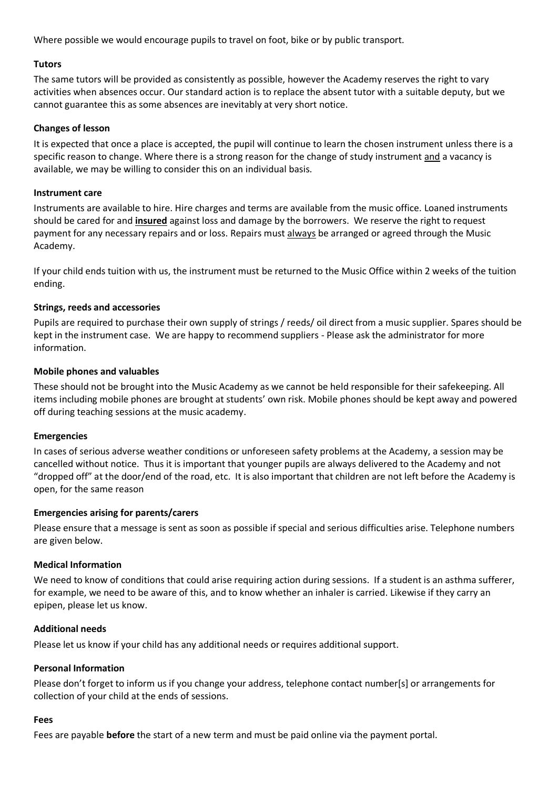Where possible we would encourage pupils to travel on foot, bike or by public transport.

# <span id="page-9-0"></span>**Tutors**

The same tutors will be provided as consistently as possible, however the Academy reserves the right to vary activities when absences occur. Our standard action is to replace the absent tutor with a suitable deputy, but we cannot guarantee this as some absences are inevitably at very short notice.

### <span id="page-9-1"></span>**Changes of lesson**

It is expected that once a place is accepted, the pupil will continue to learn the chosen instrument unless there is a specific reason to change. Where there is a strong reason for the change of study instrument and a vacancy is available, we may be willing to consider this on an individual basis.

### <span id="page-9-2"></span>**Instrument care**

Instruments are available to hire. Hire charges and terms are available from the music office. Loaned instruments should be cared for and **insured** against loss and damage by the borrowers. We reserve the right to request payment for any necessary repairs and or loss. Repairs must always be arranged or agreed through the Music Academy.

If your child ends tuition with us, the instrument must be returned to the Music Office within 2 weeks of the tuition ending.

# <span id="page-9-3"></span>**Strings, reeds and accessories**

Pupils are required to purchase their own supply of strings / reeds/ oil direct from a music supplier. Spares should be kept in the instrument case. We are happy to recommend suppliers - Please ask the administrator for more information.

### <span id="page-9-4"></span>**Mobile phones and valuables**

These should not be brought into the Music Academy as we cannot be held responsible for their safekeeping. All items including mobile phones are brought at students' own risk. Mobile phones should be kept away and powered off during teaching sessions at the music academy.

### <span id="page-9-5"></span>**Emergencies**

In cases of serious adverse weather conditions or unforeseen safety problems at the Academy, a session may be cancelled without notice. Thus it is important that younger pupils are always delivered to the Academy and not "dropped off" at the door/end of the road, etc. It is also important that children are not left before the Academy is open, for the same reason

### <span id="page-9-6"></span>**Emergencies arising for parents/carers**

Please ensure that a message is sent as soon as possible if special and serious difficulties arise. Telephone numbers are given below.

# <span id="page-9-7"></span>**Medical Information**

We need to know of conditions that could arise requiring action during sessions. If a student is an asthma sufferer, for example, we need to be aware of this, and to know whether an inhaler is carried. Likewise if they carry an epipen, please let us know.

### <span id="page-9-8"></span>**Additional needs**

<span id="page-9-9"></span>Please let us know if your child has any additional needs or requires additional support.

### **Personal Information**

Please don't forget to inform us if you change your address, telephone contact number[s] or arrangements for collection of your child at the ends of sessions.

### <span id="page-9-10"></span>**Fees**

Fees are payable **before** the start of a new term and must be paid online via the payment portal.